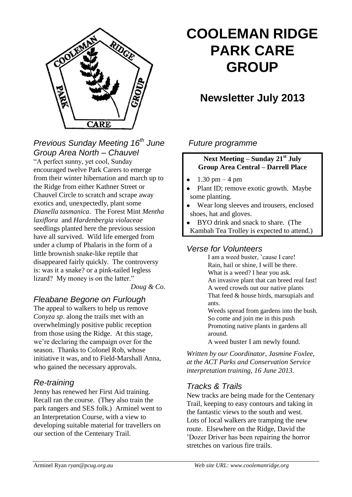

*Previous Sunday Meeting 16th June Group Area North – Chauvel*

"A perfect sunny, yet cool, Sunday encouraged twelve Park Carers to emerge from their winter hibernation and march up to the Ridge from either Kathner Street or Chauvel Circle to scratch and scrape away exotics and, unexpectedly, plant some *Dianella tasmanica*. The Forest Mint *Mentha laxiflora* and *Hardenbergia violaceae* seedlings planted here the previous session have all survived. Wild life emerged from under a clump of Phalaris in the form of a little brownish snake-like reptile that disappeared fairly quickly. The controversy is: was it a snake? or a pink-tailed legless lizard? My money is on the latter."

*Doug & Co.*

## *Fleabane Begone on Furlough*

The appeal to walkers to help us remove *Conyza sp*. along the trails met with an overwhelmingly positive public reception from those using the Ridge. At this stage, we're declaring the campaign over for the season. Thanks to Colonel Rob, whose initiative it was, and to Field-Marshall Anna, who gained the necessary approvals.

#### *Re-training*

Jenny has renewed her First Aid training. Recall ran the course. (They also train the park rangers and SES folk.) Arminel went to an Interpretation Course, with a view to developing suitable material for travellers on our section of the Centenary Trail.

# **COOLEMAN RIDGE PARK CARE GROUP**

# **Newsletter July 2013**

#### *Future programme*

#### **Next Meeting – Sunday 21st July Group Area Central – Darrell Place**

- 1.30 pm 4 pm
- Plant ID; remove exotic growth. Maybe some planting.
- Wear long sleeves and trousers, enclosed shoes, hat and gloves.
- BYO drink and snack to share. (The
- Kambah Tea Trolley is expected to attend.)

#### *Verse for Volunteers*

I am a weed buster, 'cause I care! Rain, hail or shine, I will be there. What is a weed? I hear you ask. An invasive plant that can breed real fast! A weed crowds out our native plants That feed & house birds, marsupials and ants. Weeds spread from gardens into the bush. So come and join me in this push Promoting native plants in gardens all around.

A weed buster I am newly found.

*Written by our Coordinator, Jasmine Foxlee, at the ACT Parks and Conservation Service interpretation training, 16 June 2013.*

## *Tracks & Trails*

New tracks are being made for the Centenary Trail, keeping to easy contours and taking in the fantastic views to the south and west. Lots of local walkers are tramping the new route. Elsewhere on the Ridge, David the 'Dozer Driver has been repairing the horror stretches on various fire trails.